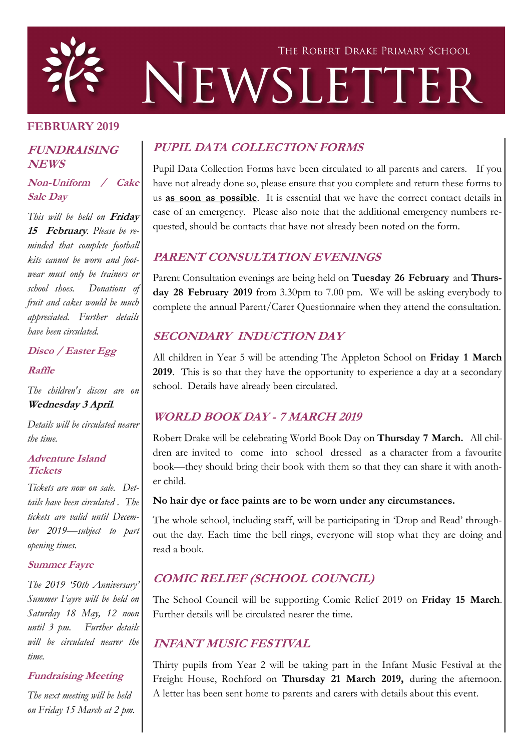

#### **FEBRUARY 2019**

#### **FUNDRAISING NEWS**

**Non-Uniform / Cake Sale Day**

*This will be held on* **Friday 15 February***. Please be reminded that complete football kits cannot be worn and footwear must only be trainers or school shoes. Donations of fruit and cakes would be much appreciated. Further details have been circulated.*

**Disco / Easter Egg** 

**Raffle**

*The children's discos are on*  **Wednesday 3 April***.*

*Details will be circulated nearer the time.*

#### **Adventure Island Tickets**

*Tickets are now on sale. Dettails have been circulated . The tickets are valid until December 2019—subject to part opening times.*

#### **Summer Fayre**

*The 2019 '50th Anniversary' Summer Fayre will be held on Saturday 18 May, 12 noon until 3 pm. Further details will be circulated nearer the time.*

#### **Fundraising Meeting**

*The next meeting will be held on Friday 15 March at 2 pm.* 

# **PUPIL DATA COLLECTION FORMS**

Pupil Data Collection Forms have been circulated to all parents and carers. If you have not already done so, please ensure that you complete and return these forms to us **as soon as possible**. It is essential that we have the correct contact details in case of an emergency. Please also note that the additional emergency numbers requested, should be contacts that have not already been noted on the form.

## **PARENT CONSULTATION EVENINGS**

Parent Consultation evenings are being held on **Tuesday 26 February** and **Thursday 28 February 2019** from 3.30pm to 7.00 pm. We will be asking everybody to complete the annual Parent/Carer Questionnaire when they attend the consultation.

## **SECONDARY INDUCTION DAY**

All children in Year 5 will be attending The Appleton School on **Friday 1 March 2019**. This is so that they have the opportunity to experience a day at a secondary school. Details have already been circulated.

# **WORLD BOOK DAY - 7 MARCH 2019**

Robert Drake will be celebrating World Book Day on **Thursday 7 March.** All children are invited to come into school dressed as a character from a favourite book—they should bring their book with them so that they can share it with another child.

#### **No hair dye or face paints are to be worn under any circumstances.**

The whole school, including staff, will be participating in 'Drop and Read' throughout the day. Each time the bell rings, everyone will stop what they are doing and read a book.

# **COMIC RELIEF (SCHOOL COUNCIL)**

The School Council will be supporting Comic Relief 2019 on **Friday 15 March**. Further details will be circulated nearer the time.

## **INFANT MUSIC FESTIVAL**

Thirty pupils from Year 2 will be taking part in the Infant Music Festival at the Freight House, Rochford on **Thursday 21 March 2019,** during the afternoon. A letter has been sent home to parents and carers with details about this event.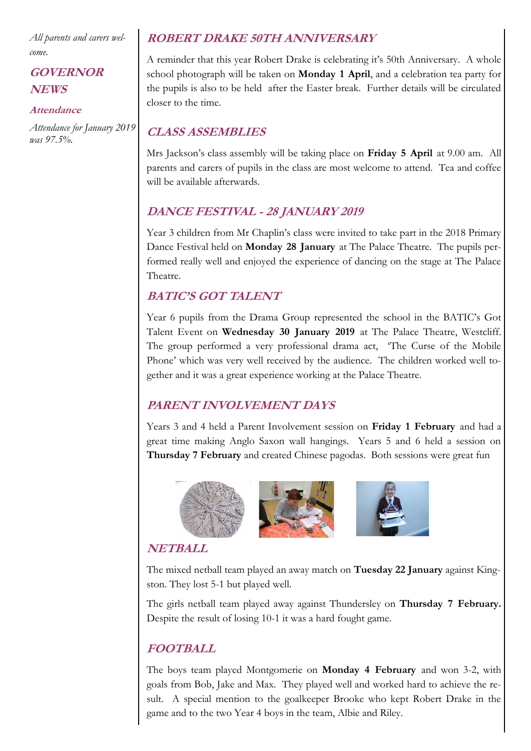*All parents and carers welcome.*

## **GOVERNOR NEWS**

#### **Attendance**

*Attendance for January 2019 was 97.5%.* 

### **ROBERT DRAKE 50TH ANNIVERSARY**

A reminder that this year Robert Drake is celebrating it's 50th Anniversary. A whole school photograph will be taken on **Monday 1 April**, and a celebration tea party for the pupils is also to be held after the Easter break. Further details will be circulated closer to the time.

## **CLASS ASSEMBLIES**

Mrs Jackson's class assembly will be taking place on **Friday 5 April** at 9.00 am. All parents and carers of pupils in the class are most welcome to attend. Tea and coffee will be available afterwards.

### **DANCE FESTIVAL - 28 JANUARY 2019**

Year 3 children from Mr Chaplin's class were invited to take part in the 2018 Primary Dance Festival held on **Monday 28 January** at The Palace Theatre. The pupils performed really well and enjoyed the experience of dancing on the stage at The Palace Theatre.

## **BATIC'S GOT TALENT**

Year 6 pupils from the Drama Group represented the school in the BATIC's Got Talent Event on **Wednesday 30 January 2019** at The Palace Theatre, Westcliff. The group performed a very professional drama act, 'The Curse of the Mobile Phone' which was very well received by the audience. The children worked well together and it was a great experience working at the Palace Theatre.

# **PARENT INVOLVEMENT DAYS**

Years 3 and 4 held a Parent Involvement session on **Friday 1 February** and had a great time making Anglo Saxon wall hangings. Years 5 and 6 held a session on **Thursday 7 February** and created Chinese pagodas. Both sessions were great fun



# **NETBALL**

The mixed netball team played an away match on **Tuesday 22 January** against Kingston. They lost 5-1 but played well.

The girls netball team played away against Thundersley on **Thursday 7 February.**  Despite the result of losing 10-1 it was a hard fought game.

# **FOOTBALL**

The boys team played Montgomerie on **Monday 4 February** and won 3-2, with goals from Bob, Jake and Max. They played well and worked hard to achieve the result. A special mention to the goalkeeper Brooke who kept Robert Drake in the game and to the two Year 4 boys in the team, Albie and Riley.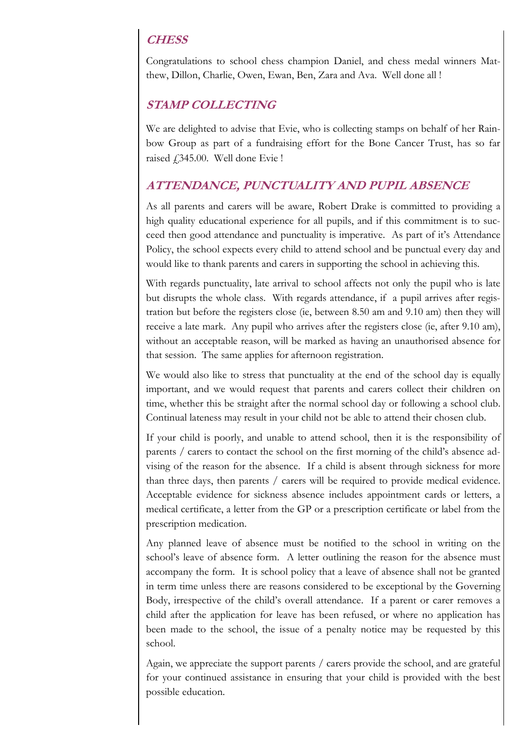### **CHESS**

Congratulations to school chess champion Daniel, and chess medal winners Matthew, Dillon, Charlie, Owen, Ewan, Ben, Zara and Ava. Well done all !

### **STAMP COLLECTING**

We are delighted to advise that Evie, who is collecting stamps on behalf of her Rainbow Group as part of a fundraising effort for the Bone Cancer Trust, has so far raised £345.00. Well done Evie !

### **ATTENDANCE, PUNCTUALITY AND PUPIL ABSENCE**

As all parents and carers will be aware, Robert Drake is committed to providing a high quality educational experience for all pupils, and if this commitment is to succeed then good attendance and punctuality is imperative. As part of it's Attendance Policy, the school expects every child to attend school and be punctual every day and would like to thank parents and carers in supporting the school in achieving this.

With regards punctuality, late arrival to school affects not only the pupil who is late but disrupts the whole class. With regards attendance, if a pupil arrives after registration but before the registers close (ie, between 8.50 am and 9.10 am) then they will receive a late mark. Any pupil who arrives after the registers close (ie, after 9.10 am), without an acceptable reason, will be marked as having an unauthorised absence for that session. The same applies for afternoon registration.

We would also like to stress that punctuality at the end of the school day is equally important, and we would request that parents and carers collect their children on time, whether this be straight after the normal school day or following a school club. Continual lateness may result in your child not be able to attend their chosen club.

If your child is poorly, and unable to attend school, then it is the responsibility of parents / carers to contact the school on the first morning of the child's absence advising of the reason for the absence. If a child is absent through sickness for more than three days, then parents / carers will be required to provide medical evidence. Acceptable evidence for sickness absence includes appointment cards or letters, a medical certificate, a letter from the GP or a prescription certificate or label from the prescription medication.

Any planned leave of absence must be notified to the school in writing on the school's leave of absence form. A letter outlining the reason for the absence must accompany the form. It is school policy that a leave of absence shall not be granted in term time unless there are reasons considered to be exceptional by the Governing Body, irrespective of the child's overall attendance. If a parent or carer removes a child after the application for leave has been refused, or where no application has been made to the school, the issue of a penalty notice may be requested by this school.

Again, we appreciate the support parents / carers provide the school, and are grateful for your continued assistance in ensuring that your child is provided with the best possible education.